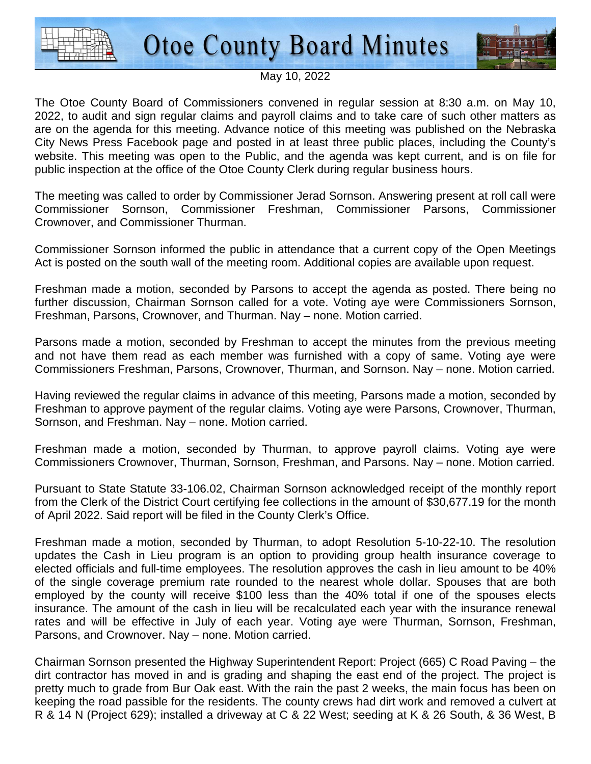



## May 10, 2022

The Otoe County Board of Commissioners convened in regular session at 8:30 a.m. on May 10, 2022, to audit and sign regular claims and payroll claims and to take care of such other matters as are on the agenda for this meeting. Advance notice of this meeting was published on the Nebraska City News Press Facebook page and posted in at least three public places, including the County's website. This meeting was open to the Public, and the agenda was kept current, and is on file for public inspection at the office of the Otoe County Clerk during regular business hours.

The meeting was called to order by Commissioner Jerad Sornson. Answering present at roll call were Commissioner Sornson, Commissioner Freshman, Commissioner Parsons, Commissioner Crownover, and Commissioner Thurman.

Commissioner Sornson informed the public in attendance that a current copy of the Open Meetings Act is posted on the south wall of the meeting room. Additional copies are available upon request.

Freshman made a motion, seconded by Parsons to accept the agenda as posted. There being no further discussion, Chairman Sornson called for a vote. Voting aye were Commissioners Sornson, Freshman, Parsons, Crownover, and Thurman. Nay – none. Motion carried.

Parsons made a motion, seconded by Freshman to accept the minutes from the previous meeting and not have them read as each member was furnished with a copy of same. Voting aye were Commissioners Freshman, Parsons, Crownover, Thurman, and Sornson. Nay – none. Motion carried.

Having reviewed the regular claims in advance of this meeting, Parsons made a motion, seconded by Freshman to approve payment of the regular claims. Voting aye were Parsons, Crownover, Thurman, Sornson, and Freshman. Nay – none. Motion carried.

Freshman made a motion, seconded by Thurman, to approve payroll claims. Voting aye were Commissioners Crownover, Thurman, Sornson, Freshman, and Parsons. Nay – none. Motion carried.

Pursuant to State Statute 33-106.02, Chairman Sornson acknowledged receipt of the monthly report from the Clerk of the District Court certifying fee collections in the amount of \$30,677.19 for the month of April 2022. Said report will be filed in the County Clerk's Office.

Freshman made a motion, seconded by Thurman, to adopt Resolution 5-10-22-10. The resolution updates the Cash in Lieu program is an option to providing group health insurance coverage to elected officials and full-time employees. The resolution approves the cash in lieu amount to be 40% of the single coverage premium rate rounded to the nearest whole dollar. Spouses that are both employed by the county will receive \$100 less than the 40% total if one of the spouses elects insurance. The amount of the cash in lieu will be recalculated each year with the insurance renewal rates and will be effective in July of each year. Voting aye were Thurman, Sornson, Freshman, Parsons, and Crownover. Nay – none. Motion carried.

Chairman Sornson presented the Highway Superintendent Report: Project (665) C Road Paving – the dirt contractor has moved in and is grading and shaping the east end of the project. The project is pretty much to grade from Bur Oak east. With the rain the past 2 weeks, the main focus has been on keeping the road passible for the residents. The county crews had dirt work and removed a culvert at R & 14 N (Project 629); installed a driveway at C & 22 West; seeding at K & 26 South, & 36 West, B